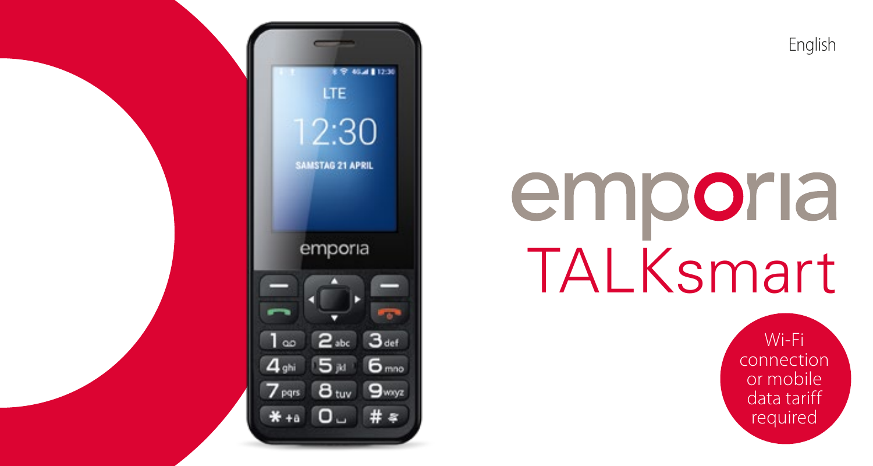English

# emporia **TALKsmart**

Wi-Fi connection or mobile data tariff required

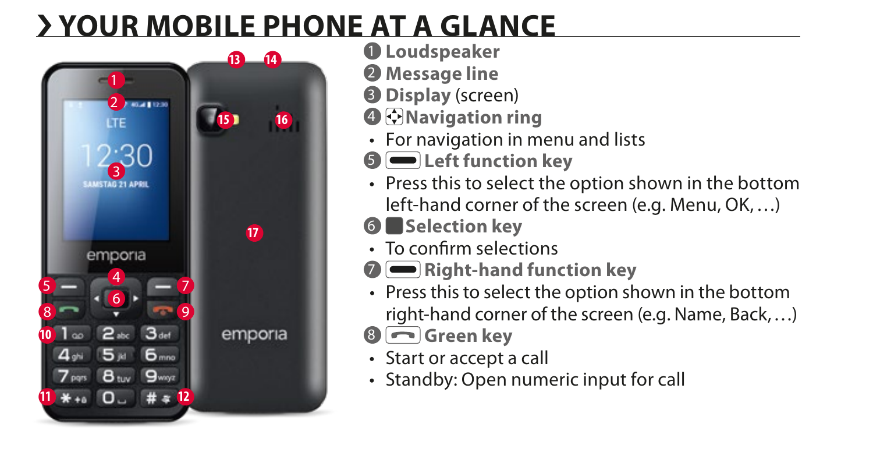### › **YOUR MOBILE PHONE AT A GLANCE**



- **Loudspeaker**
- **Message line**
- **Display** (screen)
- **Navigation ring**
- For navigation in menu and lists
- **Left function key**
- Press this to select the option shown in the bottom

left-hand corner of the screen (e.g. Menu, OK,…)

- **Selection key**
- To confirm selections
- **Right-hand function key**
- Press this to select the option shown in the bottom right-hand corner of the screen (e.g. Name, Back,…)
- **Green key**
- Start or accept a call
- Standby: Open numeric input for call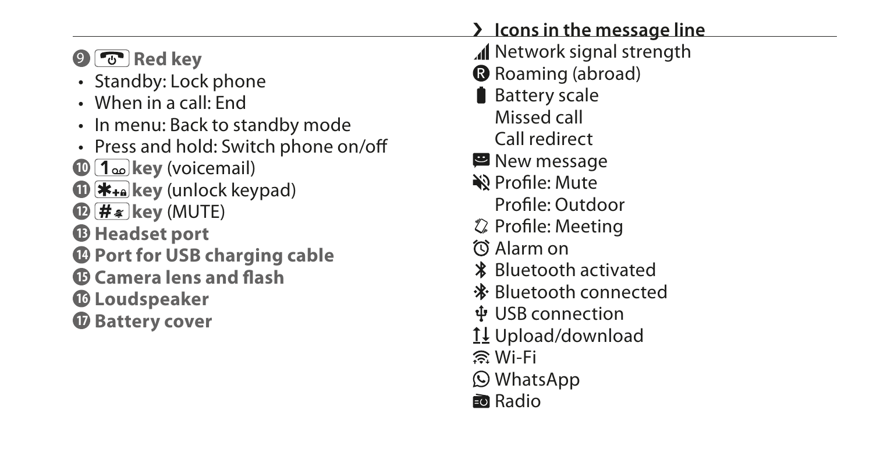| $\odot$ $\odot$ Red key<br>• Standby: Lock phone<br>• When in a call: End<br>• In menu: Back to standby mode<br>• Press and hold: Switch phone on/off<br>$\mathbf{D}$ [1 $\omega$ ]key (voicemail)<br>$\mathbf{0}$ $\mathbf{H}_{\text{+a}}$ key (unlock keypad)<br>$\mathbf{D}(\mathbf{H}*)$ key (MUTE)<br><b><i>C</i></b> Headset port<br><b>C</b> Port for USB charging cable<br><b><i>Camera lens and flash</i></b><br><b>C</b> Loudspeaker<br><b><i>O</i></b> Battery cover | > Icons in the message line<br>I Network signal strength<br><b>B</b> Roaming (abroad)<br><b>Battery scale</b><br>Missed call<br>Call redirect<br>New message<br>�� Profile: Mute<br>Profile: Outdoor<br><b>♦ Profile: Meeting</b><br>⑦ Alarm on<br><b>* Bluetooth activated</b><br>* Bluetooth connected<br>ቀ USB connection<br>1↓ Upload/download<br>ි Wi-Fi<br><b>O</b> WhatsApp |
|---------------------------------------------------------------------------------------------------------------------------------------------------------------------------------------------------------------------------------------------------------------------------------------------------------------------------------------------------------------------------------------------------------------------------------------------------------------------------------|------------------------------------------------------------------------------------------------------------------------------------------------------------------------------------------------------------------------------------------------------------------------------------------------------------------------------------------------------------------------------------|
|                                                                                                                                                                                                                                                                                                                                                                                                                                                                                 | <b>國 Radio</b>                                                                                                                                                                                                                                                                                                                                                                     |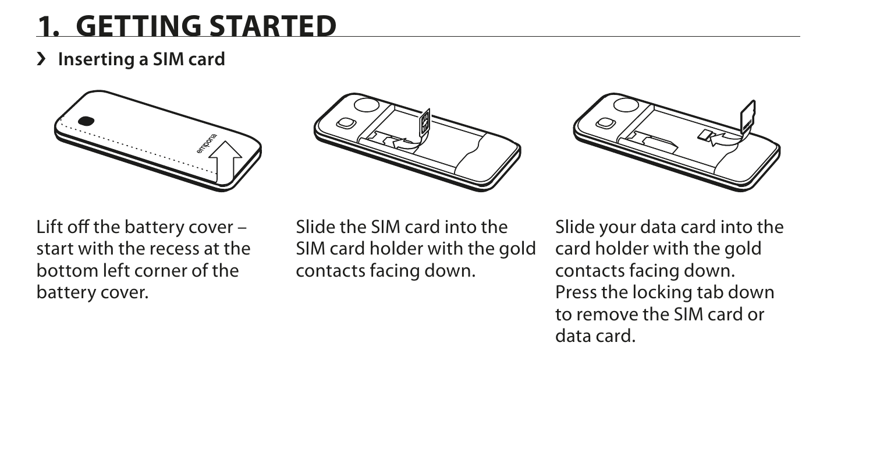### **1. GETTING STARTED**

#### › **Inserting a SIM card**







Lift off the battery cover – start with the recess at the bottom left corner of the battery cover.

Slide the SIM card into the SIM card holder with the gold contacts facing down.

Slide your data card into the card holder with the gold contacts facing down. Press the locking tab down to remove the SIM card or data card.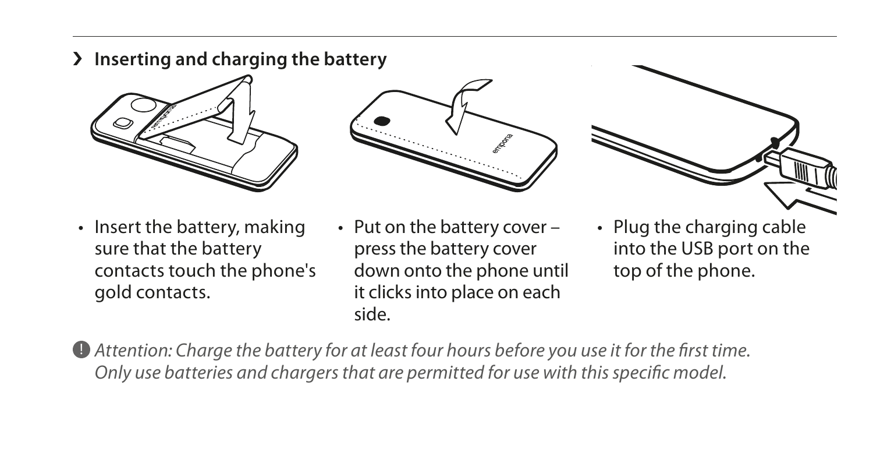› **Inserting and charging the battery**







- Insert the battery, making sure that the battery contacts touch the phone's gold contacts.
- Put on the battery cover press the battery cover down onto the phone until it clicks into place on each side.
- Plug the charging cable into the USB port on the top of the phone.

! *Attention: Charge the battery for at least four hours before you use it for the first time. Only use batteries and chargers that are permitted for use with this specific model.*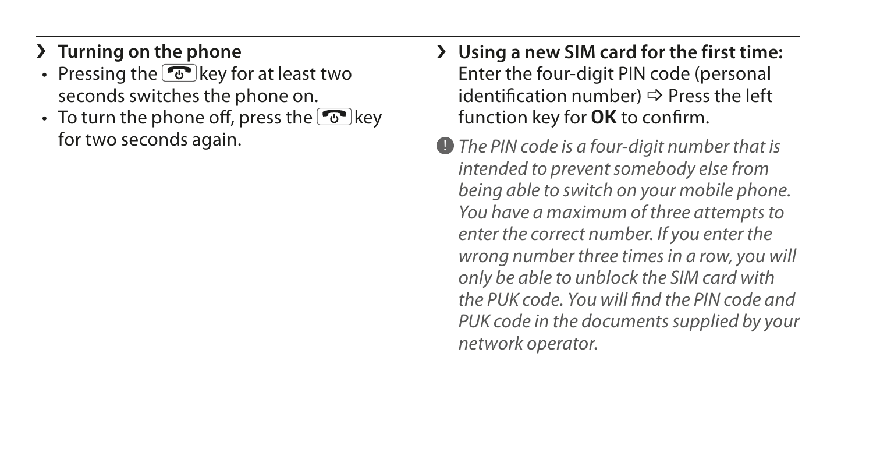### › **Turning on the phone**

- Pressing the  $\circledcirc$  key for at least two seconds switches the phone on.
- To turn the phone off, press the  $\boxed{\odot}$  key for two seconds again.
- › **Using a new SIM card for the first time:** Enter the four-digit PIN code (personal identification number)  $\Rightarrow$  Press the left function key for **OK** to confirm.
- ! *The PIN code is a four-digit number that is intended to prevent somebody else from being able to switch on your mobile phone. You have a maximum of three attempts to enter the correct number. If you enter the wrong number three times in a row, you will only be able to unblock the SIM card with the PUK code. You will find the PIN code and PUK code in the documents supplied by your network operator.*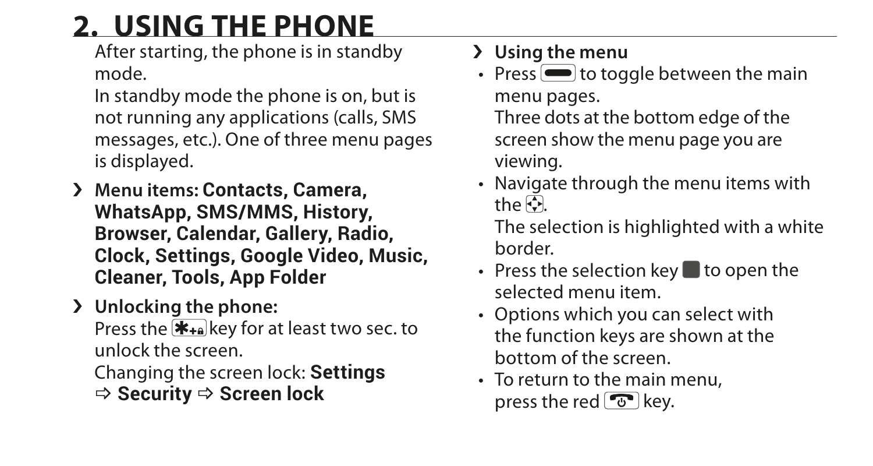## **2. USING THE PHONE**

After starting, the phone is in standby mode.

In standby mode the phone is on, but is not running any applications (calls, SMS messages, etc.). One of three menu pages is displayed.

- › **Menu items: Contacts, Camera, WhatsApp, SMS/MMS, History, Browser, Calendar, Gallery, Radio, Clock, Settings, Google Video, Music, Cleaner, Tools, App Folder**
- › **Unlocking the phone:**

Press the  $\mathbf{F}_{\text{+}a}$  key for at least two sec. to unlock the screen.

Changing the screen lock: **Settings**  \_ **Security** \_ **Screen lock**

#### › **Using the menu**

• Press  $\blacksquare$  to toggle between the main menu pages. Three dots at the bottom edge of the screen show the menu page you are

viewing.

• Navigate through the menu items with the  $\overline{\mathbb{C}}$ 

The selection is highlighted with a white border.

- Press the selection key  $\blacksquare$  to open the selected menu item.
- Options which you can select with the function keys are shown at the bottom of the screen.
- To return to the main menu, press the red  $\boxed{\mathcal{F}}$  key.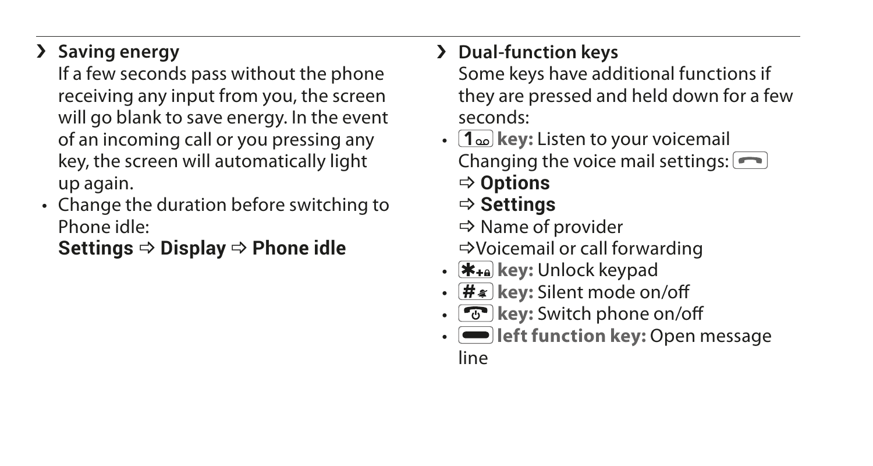### › **Saving energy**

If a few seconds pass without the phone receiving any input from you, the screen will go blank to save energy. In the event of an incoming call or you pressing any key, the screen will automatically light up again.

• Change the duration before switching to Phone idle:

**Settings**  $\Rightarrow$  **Display**  $\Rightarrow$  **Phone idle** 

### › **Dual-function keys**

Some keys have additional functions if they are pressed and held down for a few seconds:

- **1 key:** Listen to your voicemail Changing the voice mail settings:  $\boxed{\frown}$ \_ **Options**
	- \_ **Settings**

 $\Rightarrow$  Name of provider \_Voicemail or call forwarding

- **key:** Unlock keypad
- $\cdot$   $\overline{H*}$  key: Silent mode on/off
- **F** key: Switch phone on/off
- **I** left function key: Open message

line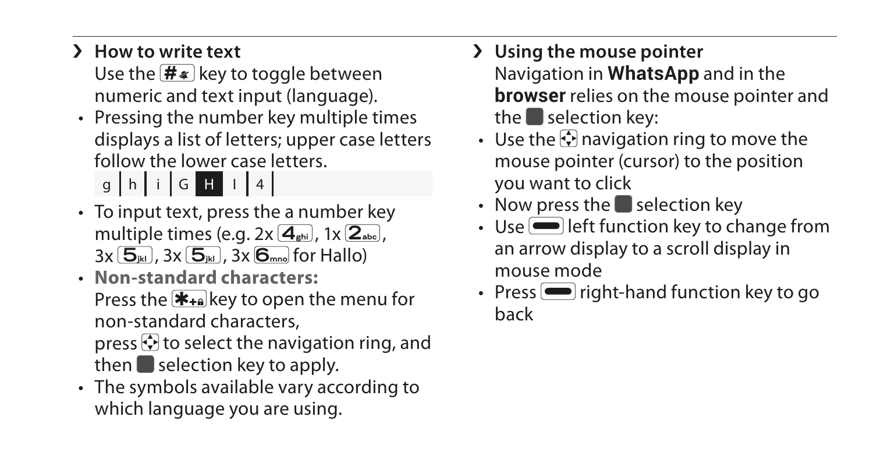› **How to write text**

Use the  $\left(\frac{H_{\ast}}{H}\right)$  key to toggle between numeric and text input (language).

- Pressing the number key multiple times displays a list of letters; upper case letters follow the lower case letters.  $q \mid h \mid i \mid G$  H  $1 \mid 4$ 
	-
- To input text, press the a number key multiple times (e.g. 2x **4ghi** , 1x **2abc** , 3x **5jkl** , 3x **5jkl** , 3x **6mno** for Hallo)
- **Non-standard characters:** Press the  $\bigstar_{\text{+a}}$  key to open the menu for non-standard characters,

press  $\odot$  to select the navigation ring, and then  $\blacksquare$  selection key to apply.

• The symbols available vary according to which language you are using.

› **Using the mouse pointer**

Navigation in **WhatsApp** and in the **browser** relies on the mouse pointer and the  $\blacksquare$  selection key:

- Use the  $\odot$  navigation ring to move the mouse pointer (cursor) to the position you want to click
- Now press the selection key
- $\cdot$  Use  $\blacksquare$  left function key to change from an arrow display to a scroll display in mouse mode
- Press  $\blacksquare$  right-hand function key to go back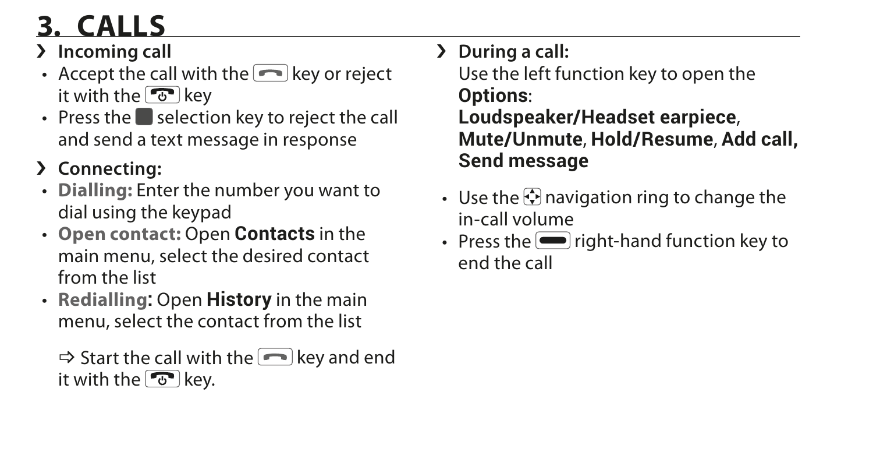## **3. CALLS**

- › **Incoming call**
- Accept the call with the  $\blacksquare$  key or reject it with the  $\boxed{\mathcal{F}}$  key
- Press the  $\blacksquare$  selection key to reject the call and send a text message in response
- › **Connecting:**
- **Dialling:** Enter the number you want to dial using the keypad
- **Open contact:** Open **Contacts** in the main menu, select the desired contact from the list
- **Redialling:** Open **History** in the main menu, select the contact from the list

 $\Rightarrow$  Start the call with the  $\Rightarrow$  key and end it with the  $\sqrt{v}$  key.

› **During a call:**

Use the left function key to open the **Options**: **Loudspeaker/Headset earpiece**, **Mute/Unmute**, **Hold/Resume**, **Add call, Send message**

- Use the  $\odot$  navigation ring to change the in-call volume
- Press the  $\blacksquare$  right-hand function key to end the call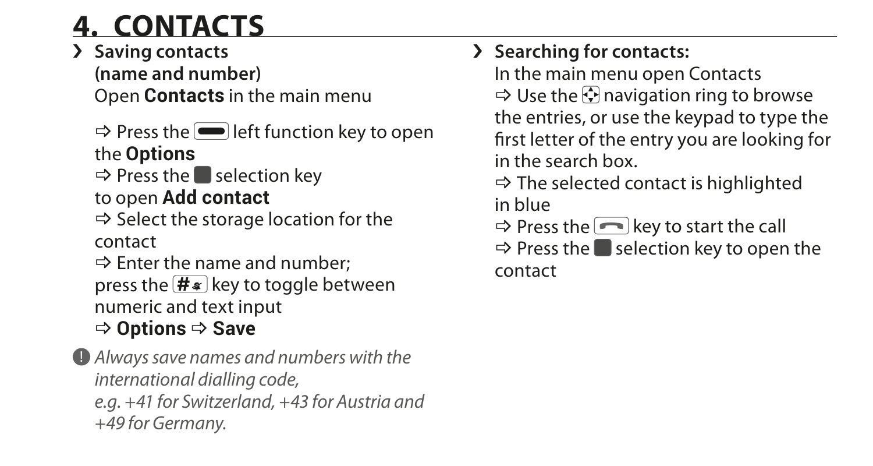### **4. CONTACTS**

#### › **Saving contacts**

**(name and number)**  Open **Contacts** in the main menu

 $\Rightarrow$  Press the **I** left function key to open the **Options**

 $\Rightarrow$  Press the selection key to open **Add contact**

 $\Rightarrow$  Select the storage location for the contact

 $\Rightarrow$  Enter the name and number: press the  $\frac{H}{\sqrt{H}}$  key to toggle between numeric and text input \_ **Options** \_ **Save**

! *Always save names and numbers with the international dialling code, e.g. +41 for Switzerland, +43 for Austria and +49 for Germany.*

### › **Searching for contacts:**

In the main menu open Contacts  $\Rightarrow$  Use the  $\bigcirc$  navigation ring to browse the entries, or use the keypad to type the first letter of the entry you are looking for in the search box.

 $\Rightarrow$  The selected contact is highlighted

in blue

 $\Rightarrow$  Press the **key** to start the call

 $\Rightarrow$  Press the selection key to open the contact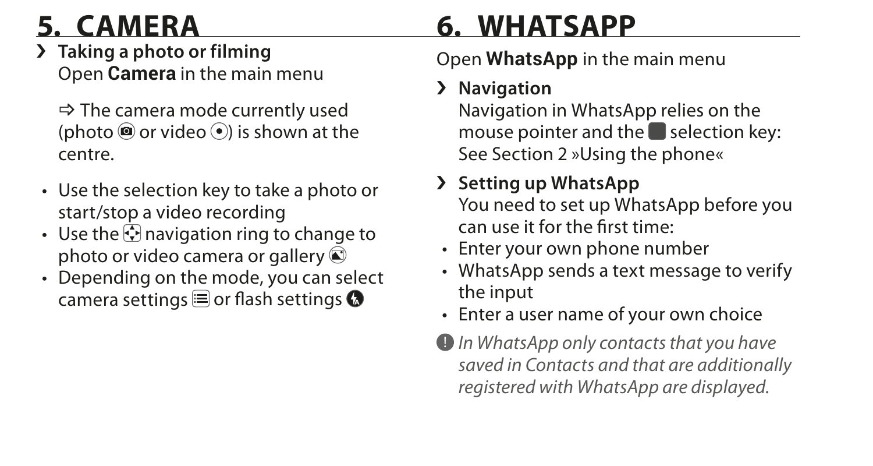- › **Taking a photo or filming** Open **Camera** in the main menu
	- $\Rightarrow$  The camera mode currently used (photo  $\circledcirc$  or video  $\circledcirc$ ) is shown at the centre.
- Use the selection key to take a photo or start/stop a video recording
- Use the  $\odot$  navigation ring to change to photo or video camera or gallery  $\textcircled{e}$
- Depending on the mode, you can select camera settings  $\equiv$  or flash settings  $\bullet$

### **5. CAMERA 6. WHATSAPP**

### Open **WhatsApp** in the main menu

### › **Navigation**

Navigation in WhatsApp relies on the mouse pointer and the  $\blacksquare$  selection key: See Section 2 »Using the phone«

### › **Setting up WhatsApp**

You need to set up WhatsApp before you can use it for the first time:

- Enter your own phone number
- WhatsApp sends a text message to verify the input
- Enter a user name of your own choice
- ! *In WhatsApp only contacts that you have saved in Contacts and that are additionally registered with WhatsApp are displayed.*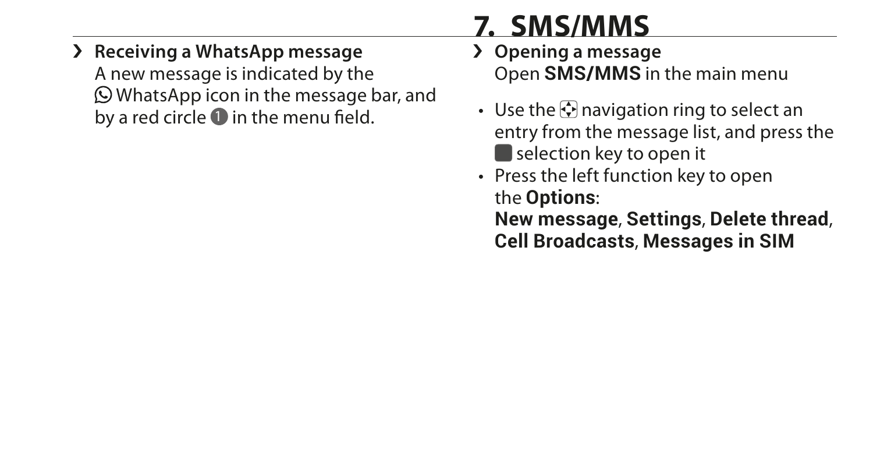### **7. SMS/MMS**

#### › **Receiving a WhatsApp message**

A new message is indicated by the WhatsApp icon in the message bar, and by a red circle  $\bullet$  in the menu field.

- › **Opening a message** Open **SMS/MMS** in the main menu
- Use the  $\odot$  navigation ring to select an entry from the message list, and press the  $\blacksquare$  selection key to open it
- Press the left function key to open the **Options**:

**New message**, **Settings**, **Delete thread**, **Cell Broadcasts**, **Messages in SIM**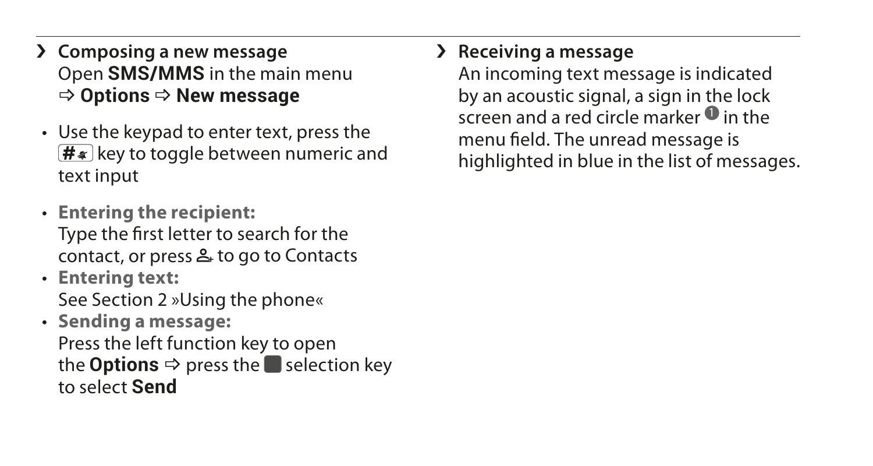- › **Composing a new message** Open **SMS/MMS** in the main menu  $\Rightarrow$  Options  $\Rightarrow$  New message
- Use the keypad to enter text, press the  $\sqrt{H*}$  key to toggle between numeric and text input
- **Entering the recipient:** Type the first letter to search for the contact, or press  $\triangle$  to go to Contacts
- **Entering text:** See Section 2 »Using the phone«
- **Sending a message:** Press the left function key to open the **Options**  $\Rightarrow$  press the **s** selection key to select **Send**

#### › **Receiving a message**

An incoming text message is indicated by an acoustic signal, a sign in the lock  $s$  creen and a red circle marker  $\bullet$  in the menu field. The unread message is highlighted in blue in the list of messages.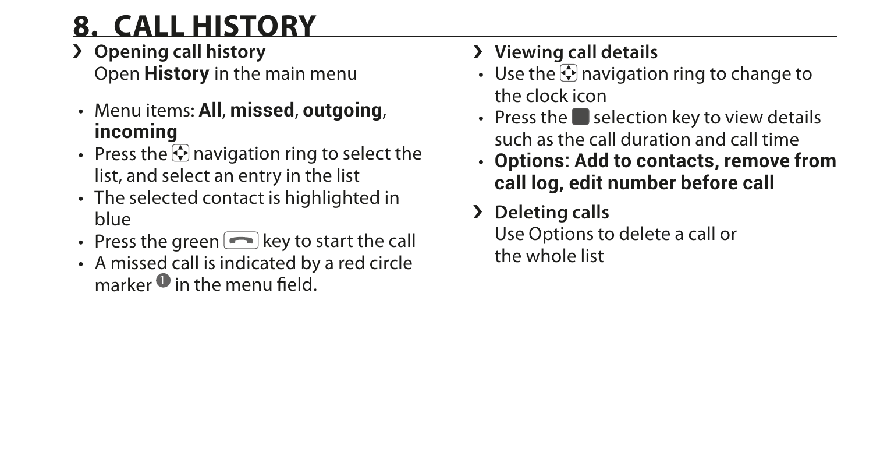### **8. CALL HISTORY**

- › **Opening call history** Open **History** in the main menu
- Menu items: **All**, **missed**, **outgoing**, **incoming**
- Press the  $\odot$  navigation ring to select the list, and select an entry in the list
- The selected contact is highlighted in blue
- Press the green  $\blacksquare$  key to start the call
- A missed call is indicated by a red circle marker  $\bm{0}$  in the menu field.

### › **Viewing call details**

- Use the  $\odot$  navigation ring to change to the clock icon
- Press the  $\blacksquare$  selection key to view details such as the call duration and call time
- **Options: Add to contacts, remove from call log, edit number before call**
- › **Deleting calls**

Use Options to delete a call or the whole list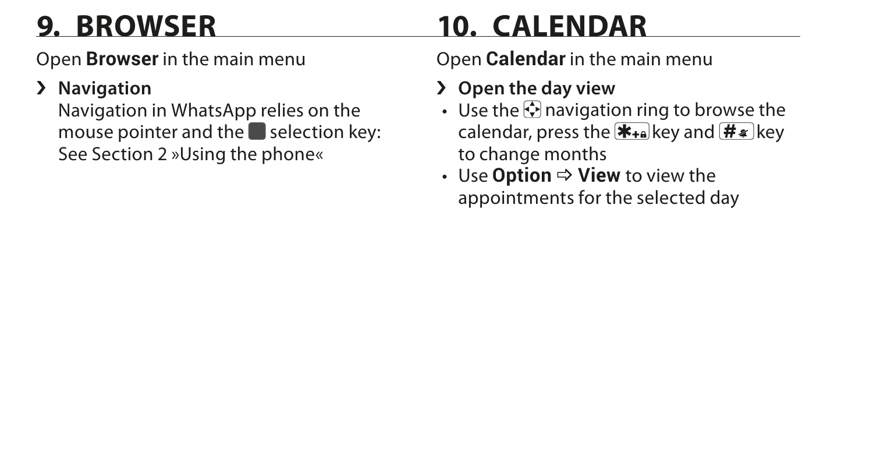## **9. BROWSER 10. CALENDAR**

Open **Browser** in the main menu

### › **Navigation**

Navigation in WhatsApp relies on the mouse pointer and the  $\blacksquare$  selection key: See Section 2 »Using the phone«

Open **Calendar** in the main menu

- › **Open the day view**
- Use the  $\odot$  navigation ring to browse the calendar, press the  $\overline{f}_{\overline{f}}$  key and  $\overline{f}_{\overline{f}}$  key to change months
- **Use Option ⇒ View to view the** appointments for the selected day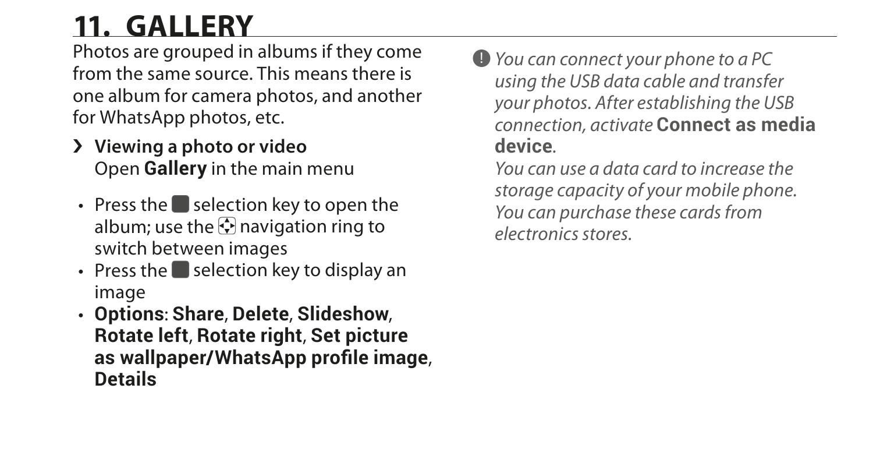### **11. GALLERY**

Photos are grouped in albums if they come from the same source. This means there is one album for camera photos, and another for WhatsApp photos, etc.

- › **Viewing a photo or video** Open **Gallery** in the main menu
- Press the  $\blacksquare$  selection key to open the album; use the  $\overline{\mathbb{Q}}$  navigation ring to switch between images
- Press the  $\blacksquare$  selection key to display an image
- **Options**: **Share**, **Delete**, **Slideshow**, **Rotate left**, **Rotate right**, **Set picture as wallpaper/WhatsApp profile image**, **Details**

! *You can connect your phone to a PC using the USB data cable and transfer your photos. After establishing the USB connection, activate* **Connect as media device***.* 

*You can use a data card to increase the storage capacity of your mobile phone. You can purchase these cards from electronics stores.*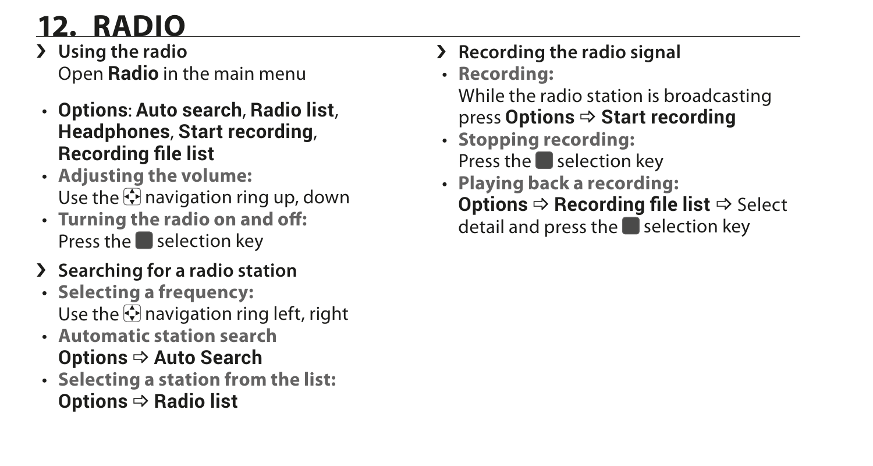## **12. RADIO**

- › **Using the radio** Open **Radio** in the main menu
- **Options**: **Auto search**, **Radio list**, **Headphones**, **Start recording**, **Recording file list**
- **Adjusting the volume:** Use the  $\heartsuit$  navigation ring up, down
- **Turning the radio on and off:** Press the  $\blacksquare$  selection key
- › **Searching for a radio station**
- **Selecting a frequency:** Use the  $\Box$  navigation ring left, right
- **Automatic station search Options ⇔ Auto Search**
- **Selecting a station from the list: Options**  $⇒$  **Radio list**
- › **Recording the radio signal**
- **Recording:** While the radio station is broadcasting **press Options**  $\Rightarrow$  **Start recording**
- **Stopping recording:** Press the  $\blacksquare$  selection key
- **Playing back a recording: Options**  $\Rightarrow$  **Recording file list**  $\Rightarrow$  Select detail and press the  $\blacksquare$  selection key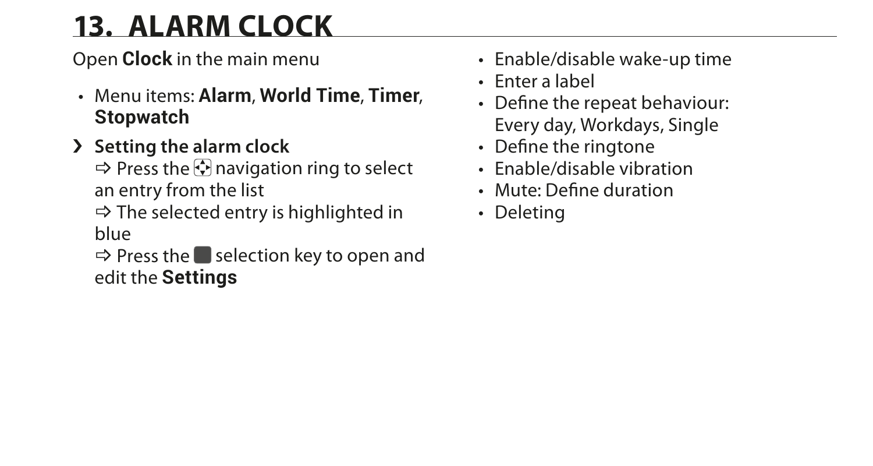### **13. ALARM CLOCK**

Open **Clock** in the main menu

- Menu items: **Alarm**, **World Time**, **Timer**, **Stopwatch**
- › **Setting the alarm clock**

 $\Rightarrow$  Press the  $\bigcirc$  navigation ring to select an entry from the list

 $\Rightarrow$  The selected entry is highlighted in blue

 $\Rightarrow$  Press the **s** selection key to open and edit the **Settings**

- Enable/disable wake-up time
- Enter a label
- Define the repeat behaviour: Every day, Workdays, Single
- Define the ringtone
- Enable/disable vibration
- Mute: Define duration
- Deleting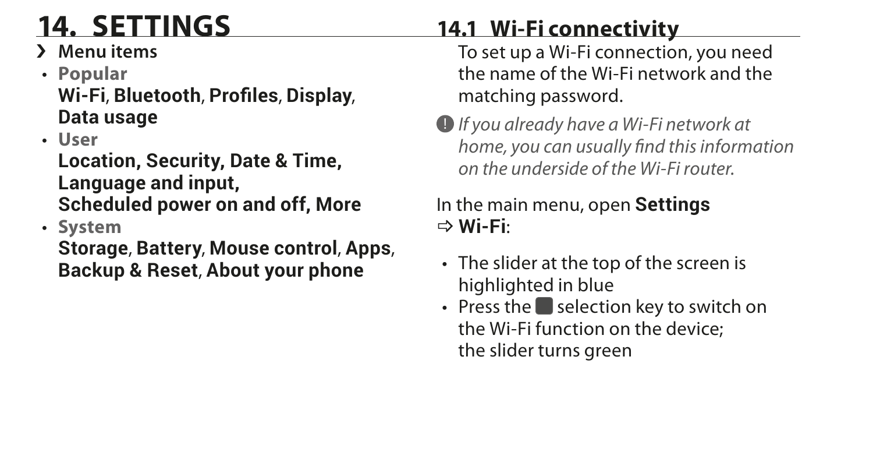› **Menu items**

## • **Popular**

**Wi-Fi**, **Bluetooth**, **Profiles**, **Display**, **Data usage**

• **User**

**Location, Security, Date & Time, Language and input, Scheduled power on and off, More**

• **System**

**Storage**, **Battery**, **Mouse control**, **Apps**, **Backup & Reset**, **About your phone**

### **14. SETTINGS 14.1 Wi-Fi connectivity**

To set up a Wi-Fi connection, you need the name of the Wi-Fi network and the matching password.

! *If you already have a Wi-Fi network at home, you can usually find this information on the underside of the Wi-Fi router.*

In the main menu, open **Settings** \_ **Wi-Fi**:

- The slider at the top of the screen is highlighted in blue
- $\cdot$  Press the selection key to switch on the Wi-Fi function on the device; the slider turns green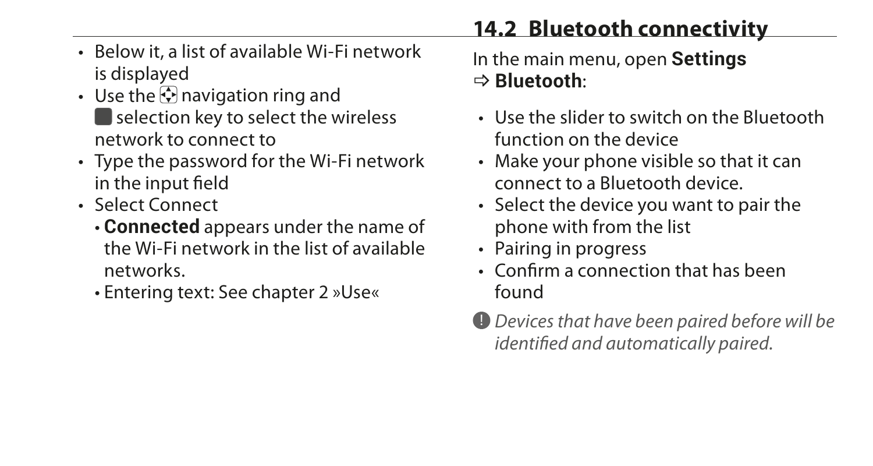- Below it, a list of available Wi-Fi network is displayed
- Use the  $\odot$  navigation ring and selection key to select the wireless network to connect to
- Type the password for the Wi-Fi network in the input field
- Select Connect
	- **Connected** appears under the name of the Wi-Fi network in the list of available networks.
	- Entering text: See chapter 2 »Use«

In the main menu, open **Settings** \_ **Bluetooth**:

- Use the slider to switch on the Bluetooth function on the device
- Make your phone visible so that it can connect to a Bluetooth device.
- Select the device you want to pair the phone with from the list
- Pairing in progress
- Confirm a connection that has been found
- ! *Devices that have been paired before will be identified and automatically paired.*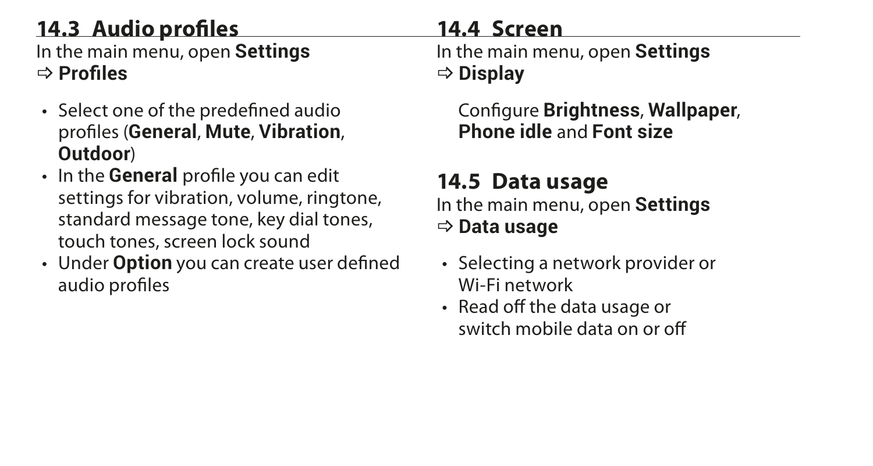### **14.3 Audio profiles**

In the main menu, open **Settings** \_ **Profiles**

- Select one of the predefined audio profiles (**General**, **Mute**, **Vibration**, **Outdoor**)
- In the **General** profile you can edit settings for vibration, volume, ringtone, standard message tone, key dial tones, touch tones, screen lock sound
- Under **Option** you can create user defined audio profiles

### **14.4 Screen**

In the main menu, open **Settings**  $\Rightarrow$  Display

Configure **Brightness**, **Wallpaper**, **Phone idle** and **Font size**

### **14.5 Data usage**

In the main menu, open **Settings** \_ **Data usage**

- Selecting a network provider or Wi-Fi network
- Read off the data usage or switch mobile data on or off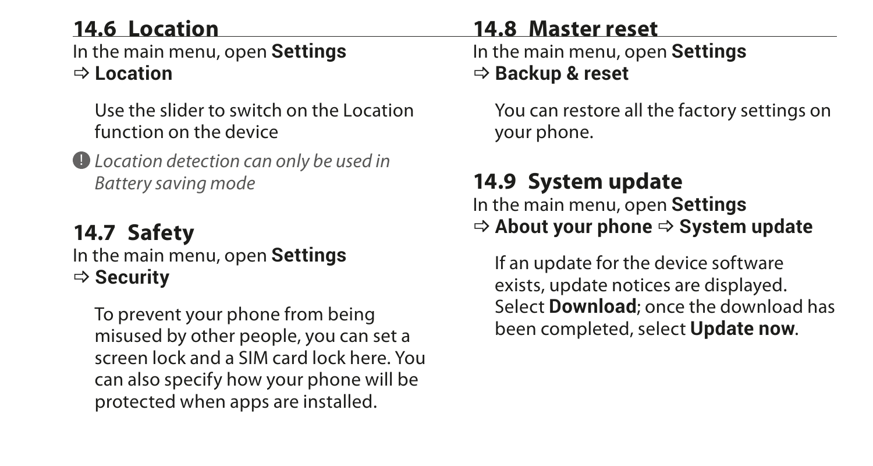### **14.6 Location**

In the main menu, open **Settings** \_ **Location**

Use the slider to switch on the Location function on the device

! *Location detection can only be used in Battery saving mode*

#### **14.7 Safety** In the main menu, open **Settings** \_ **Security**

To prevent your phone from being misused by other people, you can set a screen lock and a SIM card lock here. You can also specify how your phone will be protected when apps are installed.

#### **14.8 Master reset**

In the main menu, open **Settings**

#### \_ **Backup & reset**

You can restore all the factory settings on your phone.

### **14.9 System update**

In the main menu, open **Settings**  $\Rightarrow$  **About your phone**  $\Rightarrow$  **System update** 

If an update for the device software exists, update notices are displayed. Select **Download**; once the download has been completed, select **Update now**.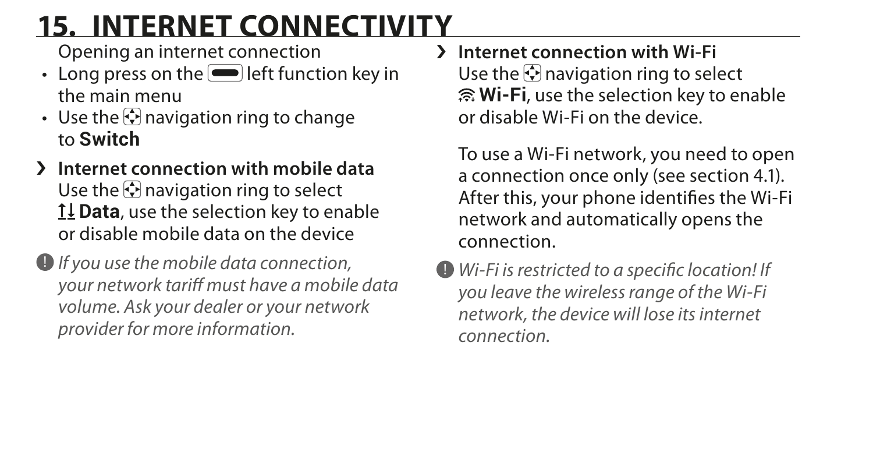### **15. INTERNET CONNECTIVITY**

Opening an internet connection

- $\cdot$  Long press on the  $\blacksquare$  left function key in the main menu
- Use the  $\odot$  navigation ring to change to **Switch**
- › **Internet connection with mobile data** Use the  $\odot$  navigation ring to select **Data**, use the selection key to enable or disable mobile data on the device
- ! *If you use the mobile data connection, your network tariff must have a mobile data volume. Ask your dealer or your network provider for more information.*

› **Internet connection with Wi-Fi** Use the  $\odot$  navigation ring to select **Wi-Fi**, use the selection key to enable or disable Wi-Fi on the device.

To use a Wi-Fi network, you need to open a connection once only (see section 4.1). After this, your phone identifies the Wi-Fi network and automatically opens the connection.

! *Wi-Fi is restricted to a specific location! If you leave the wireless range of the Wi-Fi network, the device will lose its internet connection.*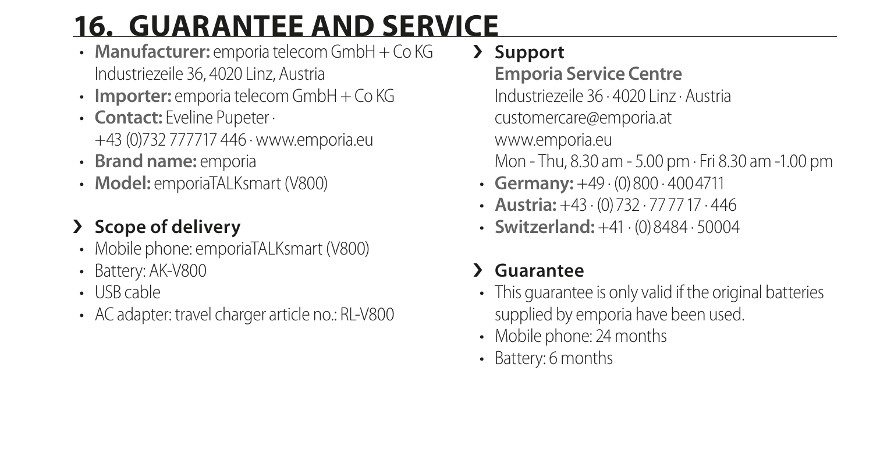## **16. GUARANTEE AND SERVICE**

- **Manufacturer:** emporia telecom GmbH + Co KG Industriezeile 36, 4020 Linz, Austria
- **Importer:** emporia telecom GmbH + Co KG
- **Contact:** Eveline Pupeter · +43 (0)732 777717 446 · www.emporia.eu
- **Brand name:** emporia
- **Model:** emporiaTAI Ksmart (V800)

### › **Scope of delivery**

- Mobile phone: emporiaTALKsmart (V800)
- Battery: AK-V800
- USB cable
- AC adapter: travel charger article no.: RL-V800

### › **Support**

### **Emporia Service Centre**

Industriezeile 36 · 4020 Linz · Austria

customercare@emporia.at

www.emporia.eu

Mon - Thu, 8.30 am - 5.00 pm · Fri 8.30 am -1.00 pm

- **Germany:** +49 · (0)800 · 4004711
- **Austria:** +43 · (0)732 · 777717 · 446
- **Switzerland:** +41 · (0)8484 · 50004

### › **Guarantee**

- This guarantee is only valid if the original batteries supplied by emporia have been used.
- Mobile phone: 24 months
- Battery: 6 months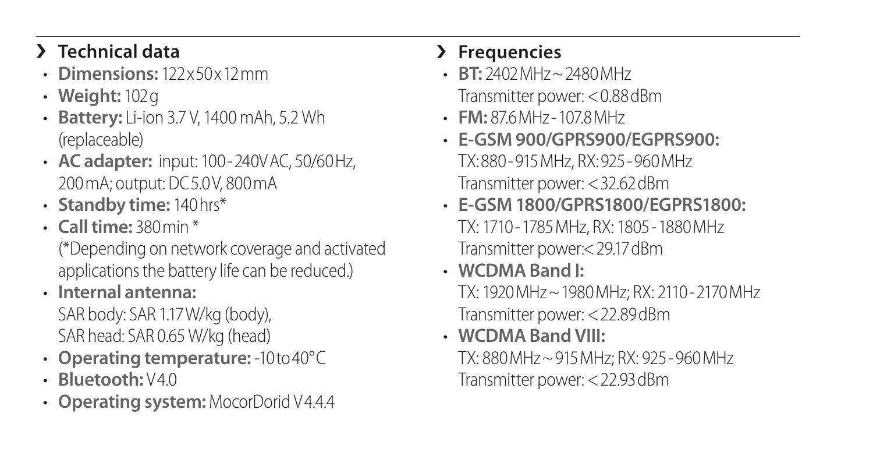### › **Technical data**

- **Dimensions:** 122x50x12mm
- **Weight:** 102g
- **Battery:** Li-ion 3.7 V, 1400 mAh, 5.2 Wh (replaceable)
- **AC adapter:** input: 100-240VAC, 50/60Hz, 200mA; output: DC5.0V, 800mA
- **Standby time:** 140hrs\*
- **Call time:** 380min \* (\*Depending on network coverage and activated applications the battery life can be reduced.)
- **Internal antenna:**  SAR body: SAR 1.17W/kg (body), SAR head: SAR 0.65 W/kg (head)
- **Operating temperature:** -10to40°C
- **Bluetooth:** V4.0
- **Operating system:** MocorDorid V4.4.4

### › **Frequencies**

- **BT:** 2402MHz~2480MHz Transmitter power: <0.88dBm
- **FM:** 87.6MHz-107.8MHz
- **E-GSM 900/GPRS900/EGPRS900:** TX:880-915MHz, RX:925-960MHz Transmitter power: <32.62dBm
- **E-GSM 1800/GPRS1800/EGPRS1800:** TX: 1710-1785MHz, RX: 1805-1880MHz Transmitter power:<29.17dBm
- **WCDMA Band I:** TX: 1920MHz~1980MHz; RX: 2110-2170MHz Transmitter power: <22.89dBm
- **WCDMA Band VIII:** TX: 880MHz~915MHz; RX: 925-960MHz Transmitter power: <22.93dBm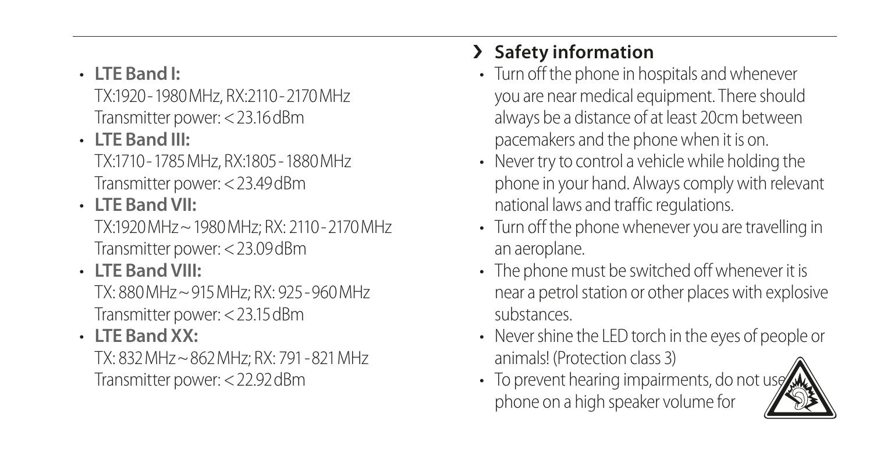• **LTE Band I:**

TX:1920-1980MHz, RX:2110-2170MHz Transmitter power: <23.16dBm

• **LTE Band III:**

TX:1710-1785MHz, RX:1805-1880MHz Transmitter power: <23.49dBm

• **LTE Band VII:**

TX:1920MHz~1980MHz; RX: 2110-2170MHz Transmitter power: <23.09dBm

### • **LTE Band VIII:**

TX: 880MHz~915MHz; RX: 925-960MHz Transmitter power: <23.15dBm

#### • **LTE Band XX:**

TX: 832MHz~862MHz; RX: 791-821MHz Transmitter power: <22.92dBm

### › **Safety information**

- Turn off the phone in hospitals and whenever you are near medical equipment. There should always be a distance of at least 20cm between pacemakers and the phone when it is on.
- Never try to control a vehicle while holding the phone in your hand. Always comply with relevant national laws and traffic regulations.
- Turn off the phone whenever you are travelling in an aeroplane.
- The phone must be switched off whenever it is near a petrol station or other places with explosive substances.
- Never shine the LED torch in the eyes of people or animals! (Protection class 3)
- $\cdot$  To prevent hearing impairments, do not use phone on a high speaker volume for

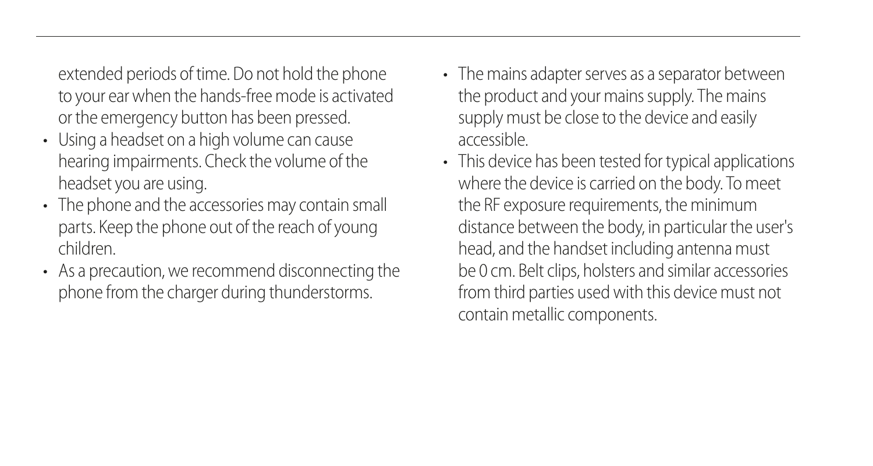extended periods of time. Do not hold the phone to your ear when the hands-free mode is activated or the emergency button has been pressed.

- Using a headset on a high volume can cause hearing impairments. Check the volume of the headset you are using.
- The phone and the accessories may contain small parts. Keep the phone out of the reach of young children.
- As a precaution, we recommend disconnecting the phone from the charger during thunderstorms.
- The mains adapter serves as a separator between the product and your mains supply. The mains supply must be close to the device and easily accessible.
- This device has been tested for typical applications where the device is carried on the body. To meet the RF exposure requirements, the minimum distance between the body, in particular the user's head, and the handset including antenna must be 0 cm. Belt clips, holsters and similar accessories from third parties used with this device must not contain metallic components.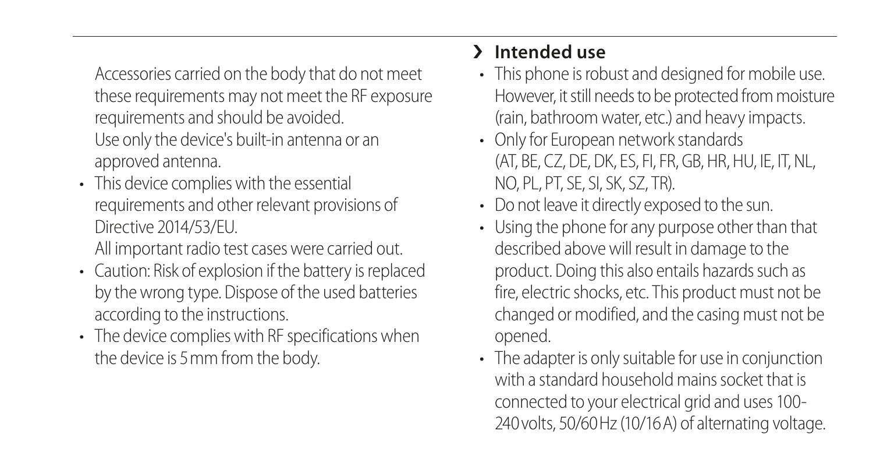Accessories carried on the body that do not meet these requirements may not meet the RF exposure requirements and should be avoided. Use only the device's built-in antenna or an

approved antenna.

- This device complies with the essential requirements and other relevant provisions of Directive 2014/53/EU. All important radio test cases were carried out.
- Caution: Risk of explosion if the battery is replaced by the wrong type. Dispose of the used batteries according to the instructions.
- The device complies with RF specifications when the device is 5mm from the body.

#### › **Intended use**

- This phone is robust and designed for mobile use. However, it still needs to be protected from moisture (rain, bathroom water, etc.) and heavy impacts.
- Only for European network standards (AT, BE, CZ, DE, DK, ES, FI, FR, GB, HR, HU, IE, IT, NL, NO, PL, PT, SE, SI, SK, SZ, TR).
- Do not leave it directly exposed to the sun.
- Using the phone for any purpose other than that described above will result in damage to the product. Doing this also entails hazards such as fire, electric shocks, etc. This product must not be changed or modified, and the casing must not be opened.
- The adapter is only suitable for use in conjunction with a standard household mains socket that is connected to your electrical grid and uses 100- 240volts, 50/60Hz (10/16A) of alternating voltage.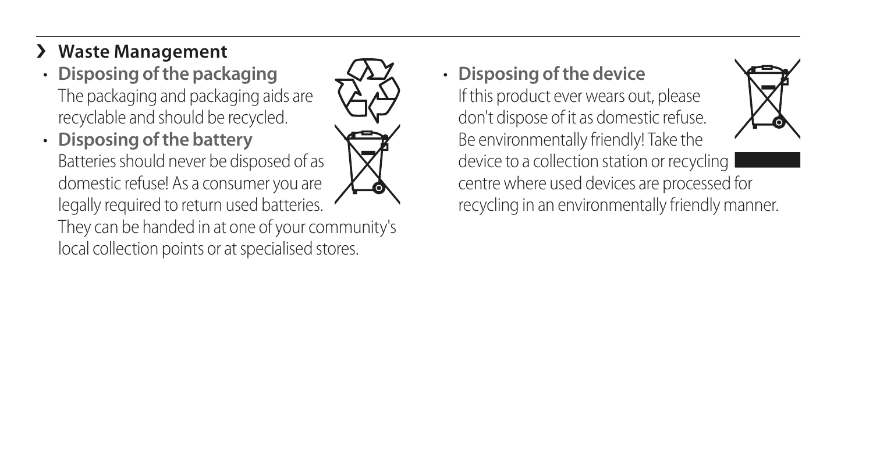#### › **Waste Management**

- **Disposing of the packaging** The packaging and packaging aids are recyclable and should be recycled.
- **Disposing of the battery** Batteries should never be disposed of as domestic refuse! As a consumer you are legally required to return used batteries. They can be handed in at one of your community's local collection points or at specialised stores.



• **Disposing of the device**

If this product ever wears out, please don't dispose of it as domestic refuse. Be environmentally friendly! Take the device to a collection station or recycling centre where used devices are processed for recycling in an environmentally friendly manner.

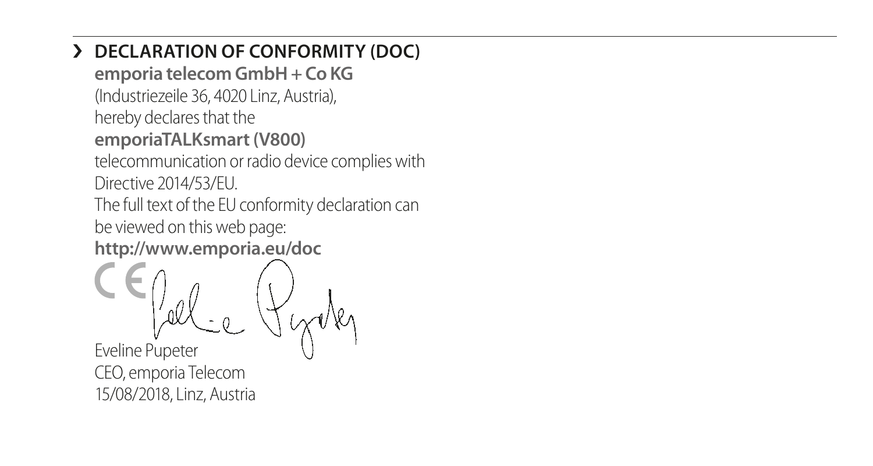#### › **DECLARATION OF CONFORMITY (DOC)**

**emporia telecom GmbH + Co KG**

(Industriezeile 36, 4020 Linz, Austria),

hereby declares that the

#### **emporiaTALKsmart(V800)**

telecommunication or radio device complies with Directive 2014/53/EU.

The full text of the EU conformity declaration can be viewed on this web page: **http://www.emporia.eu/doc**

Eveline Pupeter CEO, emporia Telecom 15/08/2018, Linz, Austria